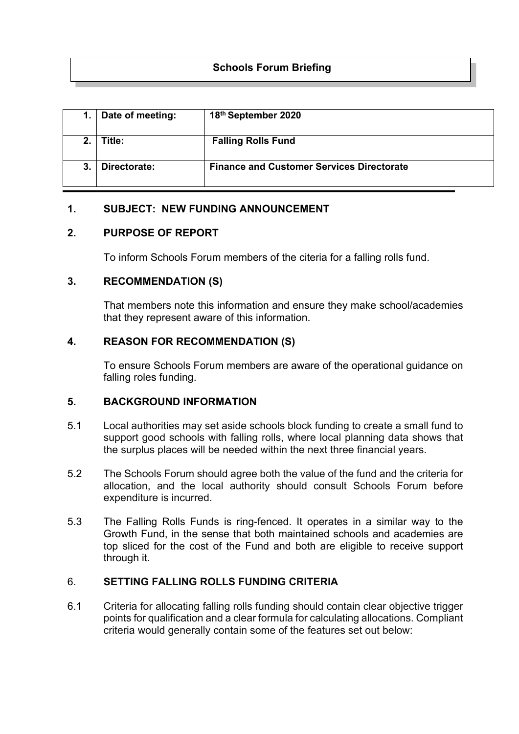# **Schools Forum Briefing**

|                | Date of meeting: | 18th September 2020                              |
|----------------|------------------|--------------------------------------------------|
| 2 <sub>1</sub> | Γitle:           | <b>Falling Rolls Fund</b>                        |
| З.             | Directorate:     | <b>Finance and Customer Services Directorate</b> |

## **1. SUBJECT: NEW FUNDING ANNOUNCEMENT**

## **2. PURPOSE OF REPORT**

To inform Schools Forum members of the citeria for a falling rolls fund.

## **3. RECOMMENDATION (S)**

That members note this information and ensure they make school/academies that they represent aware of this information.

## **4. REASON FOR RECOMMENDATION (S)**

To ensure Schools Forum members are aware of the operational guidance on falling roles funding.

## **5. BACKGROUND INFORMATION**

- 5.1 Local authorities may set aside schools block funding to create a small fund to support good schools with falling rolls, where local planning data shows that the surplus places will be needed within the next three financial years.
- 5.2 The Schools Forum should agree both the value of the fund and the criteria for allocation, and the local authority should consult Schools Forum before expenditure is incurred.
- 5.3 The Falling Rolls Funds is ring-fenced. It operates in a similar way to the Growth Fund, in the sense that both maintained schools and academies are top sliced for the cost of the Fund and both are eligible to receive support through it.

#### 6. **SETTING FALLING ROLLS FUNDING CRITERIA**

6.1 Criteria for allocating falling rolls funding should contain clear objective trigger points for qualification and a clear formula for calculating allocations. Compliant criteria would generally contain some of the features set out below: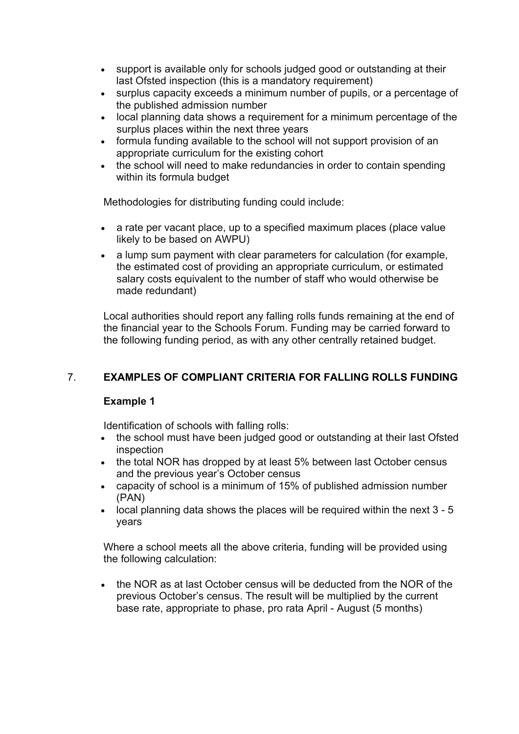- support is available only for schools judged good or outstanding at their last Ofsted inspection (this is a mandatory requirement)
- surplus capacity exceeds a minimum number of pupils, or a percentage of the published admission number
- local planning data shows a requirement for a minimum percentage of the surplus places within the next three years
- formula funding available to the school will not support provision of an appropriate curriculum for the existing cohort
- the school will need to make redundancies in order to contain spending within its formula budget

Methodologies for distributing funding could include:

- a rate per vacant place, up to a specified maximum places (place value likely to be based on AWPU)
- a lump sum payment with clear parameters for calculation (for example, the estimated cost of providing an appropriate curriculum, or estimated salary costs equivalent to the number of staff who would otherwise be made redundant)

Local authorities should report any falling rolls funds remaining at the end of the financial year to the Schools Forum. Funding may be carried forward to the following funding period, as with any other centrally retained budget.

# 7. **EXAMPLES OF COMPLIANT CRITERIA FOR FALLING ROLLS FUNDING**

# **Example 1**

Identification of schools with falling rolls:

- the school must have been judged good or outstanding at their last Ofsted inspection
- the total NOR has dropped by at least 5% between last October census and the previous year's October census
- capacity of school is a minimum of 15% of published admission number (PAN)
- local planning data shows the places will be required within the next 3 5 years

Where a school meets all the above criteria, funding will be provided using the following calculation:

 the NOR as at last October census will be deducted from the NOR of the previous October's census. The result will be multiplied by the current base rate, appropriate to phase, pro rata April - August (5 months)